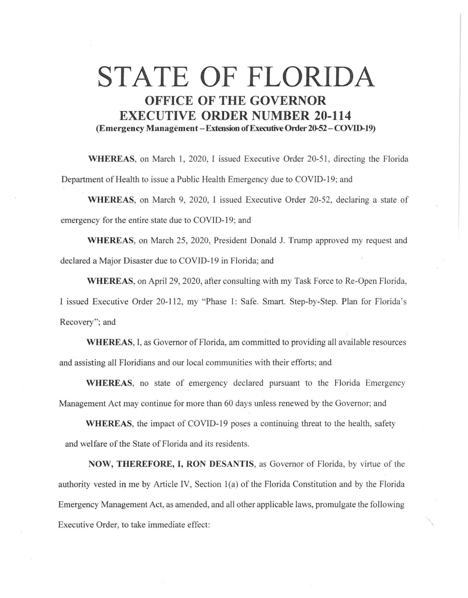## **STATE OF FLORIDA OFFICE OF THE GOVERNOR EXECUTIVE ORDER NUMBER 20-114 (Emergency Management-Extension of Executive Order 20-52-COVJD.19)**

WHEREAS, on March 1, 2020, I issued Executive Order 20-51, directing the Florida Department of Health to issue a Public Health Emergency due to COVID-19; and

**WHEREAS,** on March 9, 2020, I issued Executive Order 20-52, declaring a state of emergency for the entire state due to COVID-19; and

**WHEREAS,** on March 25, 2020, President Donald J. Trump approved my request and declared a Major Disaster due to COVID-19 in Florida; and

**WHEREAS,** on April 29, 2020, after consulting with my Task Force to Re-Open Florida, I issued Executive Order 20-112, my "Phase l: Safe. Smart. Step-by-Step. Plan for Florida's Recovery"; and

**WHEREAS,** I, as Governor of Florida, am committed to providing all available resources and assisting all Floridians and our local communities with their efforts; and

**WHEREAS,** no state of emergency declared pursuant to the Florida Emergency Management Act may continue for more than 60 days unless renewed by the Governor; and

**WHEREAS,** the impact of COVID-19 poses a continuing threat to the health, safety and welfare of the State of Florida and its residents.

**NOW, THEREFORE, I, RON DESANTIS,** as Governor of Florida, by virtue of the authority vested in me by Article IV, Section 1(a) of the Florida Constitution and by the Florida Emergency Management Act, as amended, and all other applicable laws, promulgate the following Executive Order, to take immediate effect: